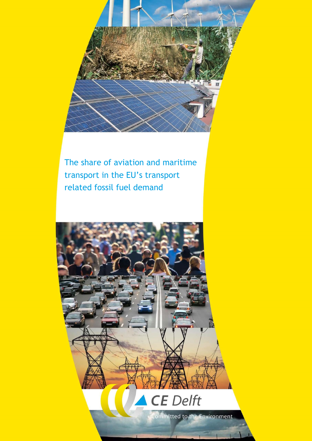

The share of aviation and maritime transport in the EU's transport related fossil fuel demand

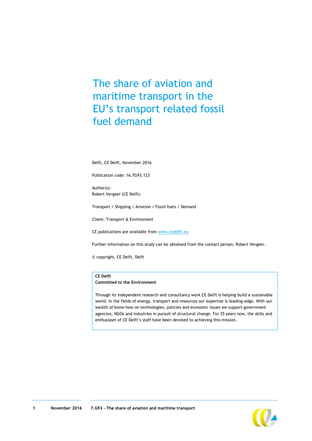## The share of aviation and maritime transport in the EU's transport related fossil fuel demand

Delft, CE Delft, November 2016

Publication code: 16.7G93.123

Author(s): Robert Vergeer (CE Delft)

Transport / Shipping / Aviation / Fossil fuels / Demand

Client: Transport & Environment

CE publications are available from [www.cedelft.eu](http://www.cedelft.eu/)

Further information on this study can be obtained from the contact person, Robert Vergeer.

© copyright, CE Delft, Delft

#### **CE Delft**

**Committed to the Environment**

Through its independent research and consultancy work CE Delft is helping build a sustainable world. In the fields of energy, transport and resources our expertise is leading-edge. With our wealth of know-how on technologies, policies and economic issues we support government agencies, NGOs and industries in pursuit of structural change. For 35 years now, the skills and enthusiasm of CE Delft's staff have been devoted to achieving this mission.

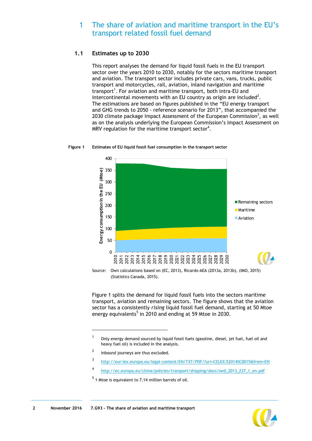### <span id="page-2-1"></span>1 The share of aviation and maritime transport in the EU's transport related fossil fuel demand

#### **1.1 Estimates up to 2030**

This report analyses the demand for liquid fossil fuels in the EU transport sector over the years 2010 to 2030, notably for the sectors maritime transport and aviation. The transport sector includes private cars, vans, trucks, public transport and motorcycles, rail, aviation, inland navigation and maritime transport<sup>1</sup>. For aviation and maritime transport, both intra-EU and intercontinental movements with an EU country as origin are included<sup>2</sup>. The estimations are based on figures published in the "EU energy transport and GHG trends to 2050 - reference scenario for 2013", that accompanied the 2030 climate package Impact Assessment of the European Commission<sup>3</sup>, as well as on the analysis underlying the European Commission's Impact Assessment on MRV regulation for the maritime transport sector<sup>4</sup>.

<span id="page-2-0"></span>



Source: Own calculations based on (EC, 2013), Ricardo-AEA (2013a, 2013b), (IMO, 2015) (Statistics Canada, 2015).

[Figure 1](#page-2-0) splits the demand for liquid fossil fuels into the sectors maritime transport, aviation and remaining sectors. The figure shows that the aviation sector has a consistently *rising* liquid fossil fuel demand, starting at 50 Mtoe energy equivalents<sup>5</sup> in 2010 and ending at 59 Mtoe in 2030.

- 3 <http://eur-lex.europa.eu/legal-content/EN/TXT/PDF/?uri=CELEX:52014SC0015&from=EN>
- 4 [http://ec.europa.eu/clima/policies/transport/shipping/docs/swd\\_2013\\_237\\_1\\_en.pdf](http://ec.europa.eu/clima/policies/transport/shipping/docs/swd_2013_237_1_en.pdf)

1



<sup>1</sup> Only energy demand sourced by liquid fossil fuels (gasoline, diesel, jet fuel, fuel oil and heavy fuel oil) is included in the analysis.

 $\overline{2}$ Inbound journeys are thus excluded.

 $<sup>5</sup>$  1 Mtoe is equivalent to 7.14 million barrels of oil.</sup>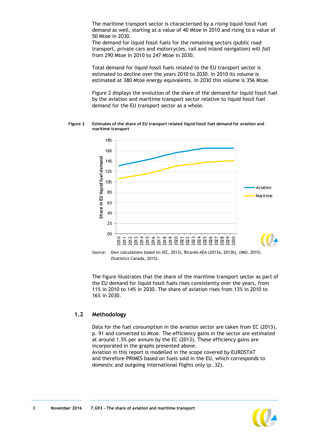<span id="page-3-1"></span>The maritime transport sector is characterised by a *rising* liquid fossil fuel demand as well, starting at a value of 40 Mtoe in 2010 and rising to a value of 50 Mtoe in 2030.

The demand for liquid fossil fuels for the remaining sectors (public road transport, private cars and motorcycles, rail and inland navigation) will *fall* from 290 Mtoe in 2010 to 247 Mtoe in 2030.

Total demand for liquid fossil fuels related to the EU transport sector is estimated to decline over the years 2010 to 2030. In 2010 its volume is estimated at 380 Mtoe energy equivalents. In 2030 this volume is 356 Mtoe.

[Figure 2](#page-3-0) displays the evolution of the share of the demand for liquid fossil fuel by the aviation and maritime transport sector relative to liquid fossil fuel demand for the EU transport sector as a whole.

<span id="page-3-0"></span>**Figure 2 Estimates of the share of EU transport related liquid fossil fuel demand for aviation and maritime transport** 



Source: Own calculations based on (EC, 2013), Ricardo-AEA (2013a, 2013b), (IMO, 2015) (Statistics Canada, 2015).

The figure illustrates that the share of the maritime transport sector as part of the EU demand for liquid fossil fuels rises consistently over the years, from 11% in 2010 to 14% in 2030. The share of aviation rises from 13% in 2010 to 16% in 2030.

#### **1.2 Methodology**

Data for the fuel consumption in the aviation sector are taken from EC (2013), p. 91 and converted to Mtoe. The efficiency gains in the sector are estimated at around 1.5% per annum by the EC (2013). These efficiency gains are incorporated in the graphs presented above.

Aviation in this report is modelled in the scope covered by EUROSTAT and therefore PRIMES based on fuels sold in the EU, which corresponds to domestic and outgoing international flights only (p. 32).



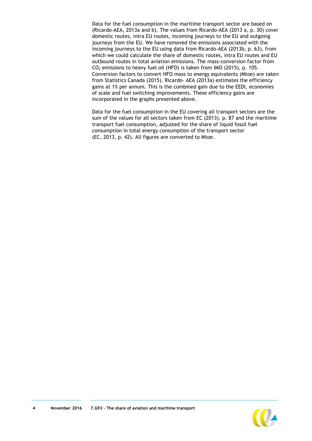Data for the fuel consumption in the maritime transport sector are based on (Ricardo-AEA, 2013a and b). The values from Ricardo-AEA (2013 a, p. 30) cover domestic routes, intra EU routes, incoming journeys to the EU and outgoing journeys from the EU. We have removed the emissions associated with the incoming journeys to the EU using data from Ricardo-AEA (2013b, p. 63), from which we could calculate the share of domestic routes, intra EU routes and EU outbound routes in total aviation emissions. The mass-conversion factor from  $CO<sub>2</sub>$  emissions to heavy fuel oil (HFO) is taken from IMO (2015), p. 105. Conversion factors to convert HFO mass to energy equivalents (Mtoe) are taken from Statistics Canada (2015). Ricardo- AEA (2013a) estimates the efficiency gains at 1% per annum. This is the combined gain due to the EEDI, economies of scale and fuel switching improvements. These efficiency gains are incorporated in the graphs presented above.

Data for the fuel consumption in the EU covering all transport sectors are the sum of the values for all sectors taken from EC (2013), p. 87 and the maritime transport fuel consumption, adjusted for the share of liquid fossil fuel consumption in total energy consumption of the transport sector (EC, 2013, p. 42). All figures are converted to Mtoe.

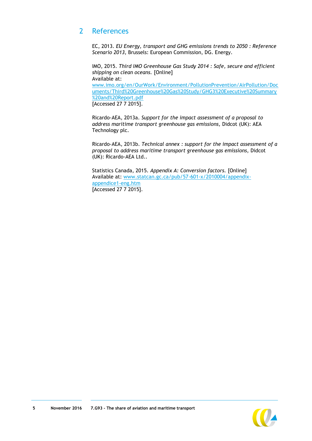## 2 References

EC, 2013. *EU Energy, transport and GHG emissions trends to 2050 : Reference Scenario 2013,* Brussels: European Commission, DG. Energy.

IMO, 2015. *Third IMO Greenhouse Gas Study 2014 : Safe, secure and efficient shipping on clean oceans.* [Online] Available at: www.imo.org/en/OurWork/Environment/PollutionPrevention/AirPollution/Doc uments/Third%20Greenhouse%20Gas%20Study/GHG3%20Executive%20Summary %20and%20Report.pdf [Accessed 27 7 2015].

Ricardo-AEA, 2013a. *Support for the impact assessment of a proposal to address maritime transport greenhouse gas emissions,* Didcot (UK): AEA Technology plc.

Ricardo-AEA, 2013b. *Technical annex : support for the impact assessment of a proposal to address maritime transport greenhouse gas emissions,* Didcot (UK): Ricardo-AEA Ltd..

Statistics Canada, 2015. *Appendix A: Conversion factors.* [Online] Available at: www.statcan.gc.ca/pub/57-601-x/2010004/appendixappendice1-eng.htm [Accessed 27 7 2015].